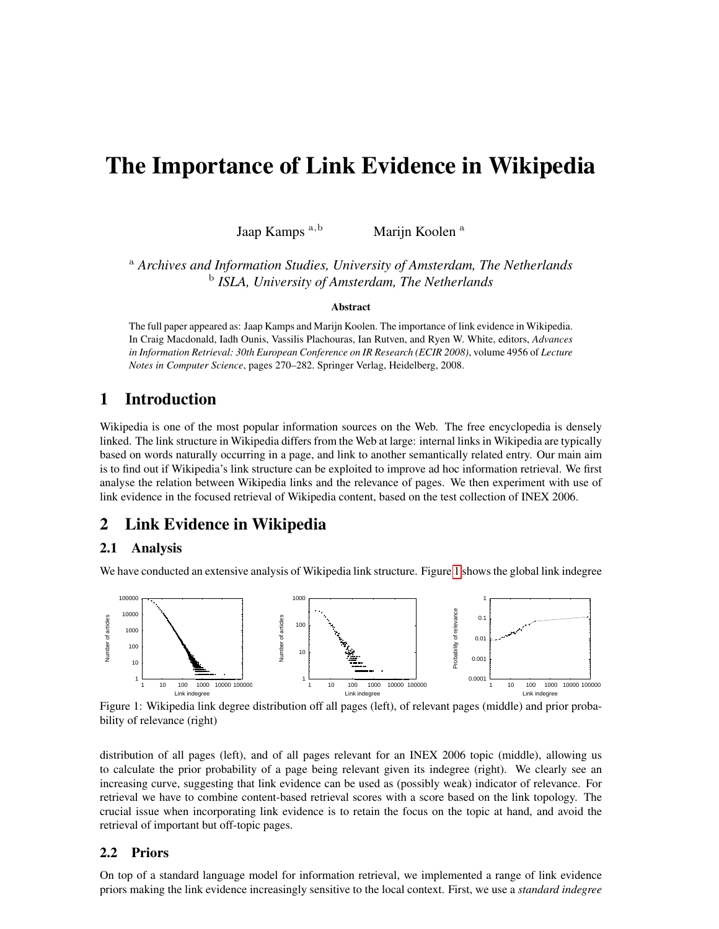# The Importance of Link Evidence in Wikipedia

Jaap Kamps <sup>a</sup>,<sup>b</sup> Marijn Koolen <sup>a</sup>

<sup>a</sup> *Archives and Information Studies, University of Amsterdam, The Netherlands* b *ISLA, University of Amsterdam, The Netherlands*

#### **Abstract**

The full paper appeared as: Jaap Kamps and Marijn Koolen. The importance of link evidence in Wikipedia. In Craig Macdonald, Iadh Ounis, Vassilis Plachouras, Ian Rutven, and Ryen W. White, editors, *Advances in Information Retrieval: 30th European Conference on IR Research (ECIR 2008)*, volume 4956 of *Lecture Notes in Computer Science*, pages 270–282. Springer Verlag, Heidelberg, 2008.

# 1 Introduction

Wikipedia is one of the most popular information sources on the Web. The free encyclopedia is densely linked. The link structure in Wikipedia differs from the Web at large: internal links in Wikipedia are typically based on words naturally occurring in a page, and link to another semantically related entry. Our main aim is to find out if Wikipedia's link structure can be exploited to improve ad hoc information retrieval. We first analyse the relation between Wikipedia links and the relevance of pages. We then experiment with use of link evidence in the focused retrieval of Wikipedia content, based on the test collection of INEX 2006.

# 2 Link Evidence in Wikipedia

### 2.1 Analysis

We have conducted an extensive analysis of Wikipedia link structure. Figure [1](#page-0-0) shows the global link indegree



<span id="page-0-0"></span>Figure 1: Wikipedia link degree distribution off all pages (left), of relevant pages (middle) and prior probability of relevance (right)

distribution of all pages (left), and of all pages relevant for an INEX 2006 topic (middle), allowing us to calculate the prior probability of a page being relevant given its indegree (right). We clearly see an increasing curve, suggesting that link evidence can be used as (possibly weak) indicator of relevance. For retrieval we have to combine content-based retrieval scores with a score based on the link topology. The crucial issue when incorporating link evidence is to retain the focus on the topic at hand, and avoid the retrieval of important but off-topic pages.

#### 2.2 Priors

On top of a standard language model for information retrieval, we implemented a range of link evidence priors making the link evidence increasingly sensitive to the local context. First, we use a *standard indegree*